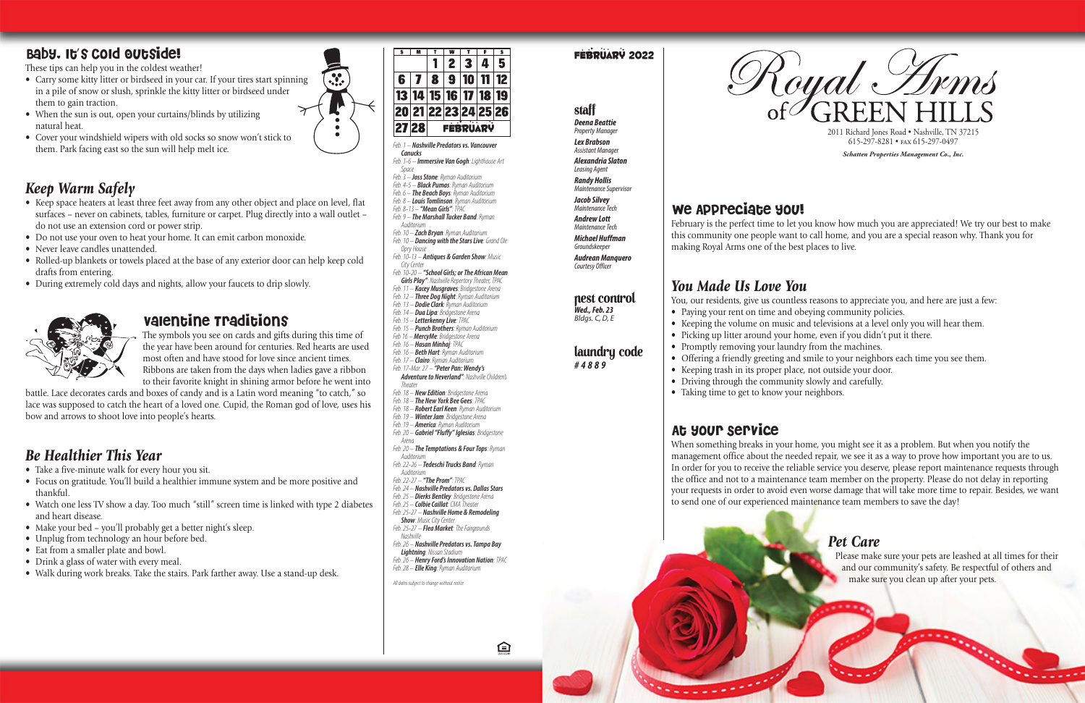

 $\ddot{\bm{v}}$ 

### February 2022

*Feb. 1 – Nashville Predators vs. Vancouver Canucks*

- *Feb. 10 – Dancing with the Stars Live: Grand Ole* 
	-
- *City Center*
- *Girls Play": Nashville Repertory Theater, TPAC*
- 
- *Feb. 12 – Three Dog Night: Ryman Auditorium*
- *Feb. 1-6 – Immersive Van Gogh: Lighthouse Art Space*
- *Feb. 3 – Joss Stone: Ryman Auditorium*
- *Feb. 4-5 – Black Pumas: Ryman Auditorium Feb. 6 – The Beach Boys: Ryman Auditorium*
- *Feb. 8 – Louis Tomlinson: Ryman Auditorium*
- *Feb. 8-13 – "Mean Girls": TPAC*
- *Feb. 9 – The Marshall Tucker Band: Ryman Auditorium*
- *Feb. 10 – Zach Bryan: Ryman Auditorium*
- *Opry House*
- *Feb. 10-13 – Antiques & Garden Show: Music*
- *Feb. 10-20 – "School Girls; or The African Mean*
- *Feb. 11 – Kacey Musgraves: Bridgestone Arena*
- 
- *Feb. 13 – Dodie Clark: Ryman Auditorium*
- *Feb. 14 – Dua Lipa: Bridgestone Arena Feb. 15 – Letterkenny Live: TPAC*
- *Feb. 15 – Punch Brothers: Ryman Auditorium*
- *Feb 16 – MercyMe: Bridgestone Arena*
- *Feb. 16 – Hasan Minhaj: TPAC*
- *Feb. 16 – Beth Hart: Ryman Auditorium Feb. 17 – Clairo: Ryman Auditorium*
- *Feb. 17-Mar. 27 – "Peter Pan: Wendy's*
- *Adventure to Neverland": Nashville Children's Theate*
- *Feb. 18 – New Edition: Bridgestone Arena*
- *Feb. 18 – The New York Bee Gees: TPAC*
- *Feb. 18 – Robert Earl Keen: Ryman Auditorium*
- *Feb. 19 – Winter Jam: Bridgestone Arena Feb. 19 – America: Ryman Auditorium*
- *Feb. 20 – Gabriel "Fluffy" Iglesias: Bridgestone*
- *Arena*
- *Feb. 20 – The Temptations & Four Tops: Ryman Auditorium*
- *Feb. 22-26 – Tedeschi Trucks Band: Ryman Auditorium*
- *Feb. 22-27 – "The Prom": TPAC*
- *Feb. 24 – Nashville Predators vs. Dallas Stars*
- *Feb. 25 – Dierks Bentley: Bridgestone Arena*
- *Feb. 25 – Colbie Caillat: CMA Theater Feb. 25-27 – Nashville Home & Remodeling*
- *Show: Music City Center*
- *Feb. 25-27 – Flea Market: The Fairgrounds Nashville*
- *Feb. 26 – Nashville Predators vs. Tampa Bay*
- *Lightning: Nissan Stadium Feb. 26 – Henry Ford's Innovation Nation: TPAC*
- *Feb. 28 – Elle King: Ryman Auditorium*

白

### Staff *Deena Beattie* **Property Manager**

### laundry code *#4889*

# We Appreciate you!

- Paying your rent on time and obeying community policies.
- Keeping the volume on music and televisions at a level only you will hear them.
- 
- Promptly removing your laundry from the machines.
- Offering a friendly greeting and smile to your neighbors each time you see them.
- Keeping trash in its proper place, not outside your door.
- Driving through the community slowly and carefully.
- Taking time to get to know your neighbors.

*All dates subject to change without notice*



- *Lex Brabson* **Assistant Manage** *Alexandria Slaton Leasing Agent Randy Hollis*
- *Maintenance Supervisor Jacob Silvey*
- *Maintenance Tech Andrew Lott Maintenance Tech Michael Huffman Groundskeeper*
- *Audrean Manquero Courtesy Officer*

### nest control

- Carry some kitty litter or birdseed in your car. If your tires start spinning in a pile of snow or slush, sprinkle the kitty litter or birdseed under them to gain traction.
- When the sun is out, open your curtains/blinds by utilizing natural heat.
- Cover your windshield wipers with old socks so snow won't stick to them. Park facing east so the sun will help melt ice.

*Wed., Feb. 23 Bldgs. C, D, E*  February is the perfect time to let you know how much you are appreciated! We try our best to make this community one people want to call home, and you are a special reason why. Thank you for making Royal Arms one of the best places to live.

# *You Made Us Love You*

You, our residents, give us countless reasons to appreciate you, and here are just a few:

- Picking up litter around your home, even if you didn't put it there.
	-

# At your Service

When something breaks in your home, you might see it as a problem. But when you notify the management office about the needed repair, we see it as a way to prove how important you are to us. In order for you to receive the reliable service you deserve, please report maintenance requests through the office and not to a maintenance team member on the property. Please do not delay in reporting your requests in order to avoid even worse damage that will take more time to repair. Besides, we want to send one of our experienced maintenance team members to save the day!



### *Pet Care*

Please make sure your pets are leashed at all times for their and our community's safety. Be respectful of others and make sure you clean up after your pets.

### Baby, It's Cold Outside!

These tips can help you in the coldest weather!

# *Keep Warm Safely*

- Keep space heaters at least three feet away from any other object and place on level, flat surfaces – never on cabinets, tables, furniture or carpet. Plug directly into a wall outlet – do not use an extension cord or power strip.
- Do not use your oven to heat your home. It can emit carbon monoxide.
- Never leave candles unattended.
- Rolled-up blankets or towels placed at the base of any exterior door can help keep cold drafts from entering.
- During extremely cold days and nights, allow your faucets to drip slowly.



### valentine Traditions

The symbols you see on cards and gifts during this time of the year have been around for centuries. Red hearts are used most often and have stood for love since ancient times. Ribbons are taken from the days when ladies gave a ribbon to their favorite knight in shining armor before he went into

battle. Lace decorates cards and boxes of candy and is a Latin word meaning "to catch," so lace was supposed to catch the heart of a loved one. Cupid, the Roman god of love, uses his bow and arrows to shoot love into people's hearts.

# *Be Healthier This Year*

- Take a five-minute walk for every hour you sit.
- Focus on gratitude. You'll build a healthier immune system and be more positive and thankful.
- Watch one less TV show a day. Too much "still" screen time is linked with type 2 diabetes and heart disease.
- Make your bed you'll probably get a better night's sleep.
- Unplug from technology an hour before bed.
- Eat from a smaller plate and bowl.
- Drink a glass of water with every meal.
- Walk during work breaks. Take the stairs. Park farther away. Use a stand-up desk.